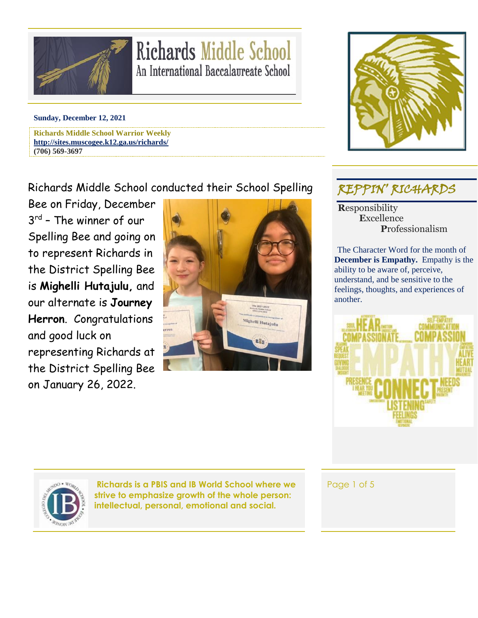

# **Richards Middle School** An International Baccalaureate School

#### **Sunday, December 12, 2021**

**Richards Middle School Warrior Weekly <http://sites.muscogee.k12.ga.us/richards/> (706) 569-3697**

### Richards Middle School conducted their School Spelling

Bee on Friday, December 3 rd – The winner of our Spelling Bee and going on to represent Richards in the District Spelling Bee is **Mighelli Hutajulu,** and our alternate is **Journey Herron**. Congratulations and good luck on representing Richards at the District Spelling Bee on January 26, 2022.





## REPPIN' RICHARDS

**R**esponsibility  **E**xcellence  **P**rofessionalism

The Character Word for the month of **December is Empathy.** Empathy is the ability to be aware of, perceive, understand, and be sensitive to the feelings, thoughts, and experiences of another.





**Richards is a PBIS and IB World School where we strive to emphasize growth of the whole person: intellectual, personal, emotional and social.**

Page 1 of 5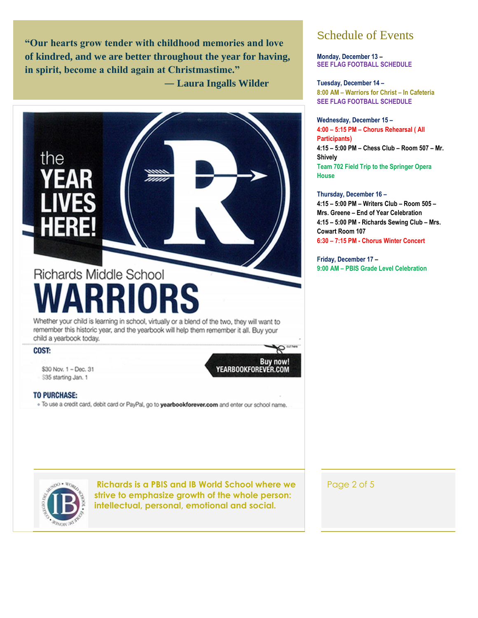**"Our hearts grow tender with childhood memories and love of kindred, and we are better throughout the year for having, in spirit, become a child again at Christmastime."**

 **― Laura Ingalls Wilder**



## Schedule of Events

**Monday, December 13 – SEE FLAG FOOTBALL SCHEDULE**

**Tuesday, December 14 – 8:00 AM – Warriors for Christ – In Cafeteria SEE FLAG FOOTBALL SCHEDULE**

**Wednesday, December 15 – 4:00 – 5:15 PM – Chorus Rehearsal ( All Participants) 4:15 – 5:00 PM – Chess Club – Room 507 – Mr. Shively Team 702 Field Trip to the Springer Opera House**

**Thursday, December 16 – 4:15 – 5:00 PM – Writers Club – Room 505 – Mrs. Greene – End of Year Celebration 4:15 – 5:00 PM - Richards Sewing Club – Mrs. Cowart Room 107 6:30 – 7:15 PM - Chorus Winter Concert**

**Friday, December 17 – 9:00 AM – PBIS Grade Level Celebration**

Page 2 of 5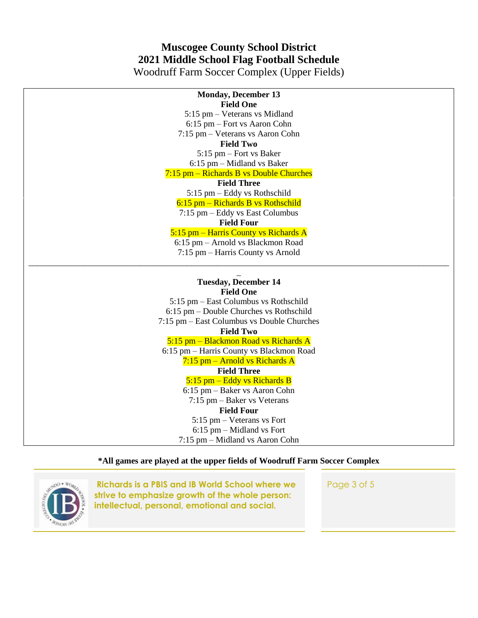## **Muscogee County School District 2021 Middle School Flag Football Schedule**

Woodruff Farm Soccer Complex (Upper Fields)

| <b>Monday, December 13</b>                 |
|--------------------------------------------|
| <b>Field One</b>                           |
| 5:15 pm – Veterans vs Midland              |
| 6:15 pm – Fort vs Aaron Cohn               |
| 7:15 pm - Veterans vs Aaron Cohn           |
| <b>Field Two</b>                           |
| $5:15$ pm – Fort vs Baker                  |
| $6:15$ pm – Midland vs Baker               |
| $7:15$ pm – Richards B vs Double Churches  |
| <b>Field Three</b>                         |
| 5:15 pm – Eddy vs Rothschild               |
| $6:15$ pm – Richards B vs Rothschild       |
| $7:15$ pm $-$ Eddy vs East Columbus        |
| <b>Field Four</b>                          |
| 5:15 pm - Harris County vs Richards A      |
| 6:15 pm - Arnold vs Blackmon Road          |
| 7:15 pm – Harris County vs Arnold          |
|                                            |
|                                            |
| <b>Tuesday, December 14</b>                |
| <b>Field One</b>                           |
| 5:15 pm – East Columbus vs Rothschild      |
| 6:15 pm – Double Churches vs Rothschild    |
| 7:15 pm - East Columbus vs Double Churches |
| <b>Field Two</b>                           |
| 5:15 pm - Blackmon Road vs Richards A      |
| 6:15 pm - Harris County vs Blackmon Road   |
| $7:15$ pm – Arnold vs Richards A           |
| <b>Field Three</b>                         |
| 5:15 pm – Eddy vs Richards B               |
| 6:15 pm - Baker vs Aaron Cohn              |
| $7:15$ pm $-$ Baker vs Veterans            |
| <b>Field Four</b>                          |
| $5:15$ pm – Veterans vs Fort               |
| $6:15$ pm – Midland vs Fort                |
| 7:15 pm – Midland vs Aaron Cohn            |
|                                            |

**\*All games are played at the upper fields of Woodruff Farm Soccer Complex**



**Richards is a PBIS and IB World School where we strive to emphasize growth of the whole person: intellectual, personal, emotional and social.**

Page 3 of 5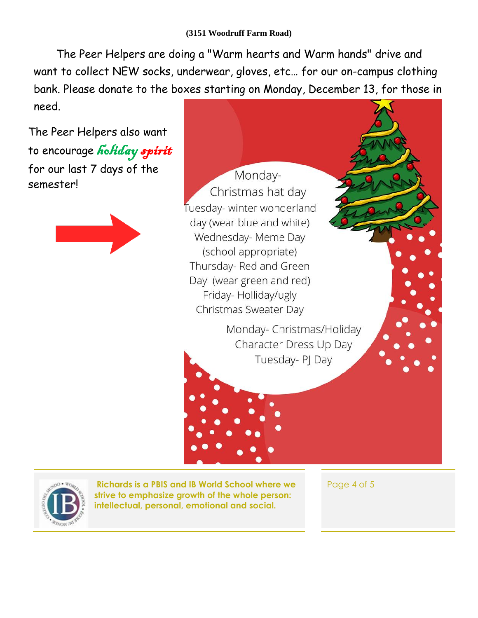The Peer Helpers are doing a "Warm hearts and Warm hands" drive and want to collect NEW socks, underwear, gloves, etc… for our on-campus clothing bank. Please donate to the boxes starting on Monday, December 13, for those in need.

The Peer Helpers also want to encourage holiday spirit for our last 7 days of the semester!



Monday-Christmas hat day Tuesday- winter wonderland day (wear blue and white) Wednesday- Meme Day (school appropriate) Thursday- Red and Green Day (wear green and red) Friday-Holliday/ugly Christmas Sweater Day

> Monday- Christmas/Holiday Character Dress Up Day Tuesday- PJ Day



**Richards is a PBIS and IB World School where we strive to emphasize growth of the whole person: intellectual, personal, emotional and social.**

Page 4 of 5